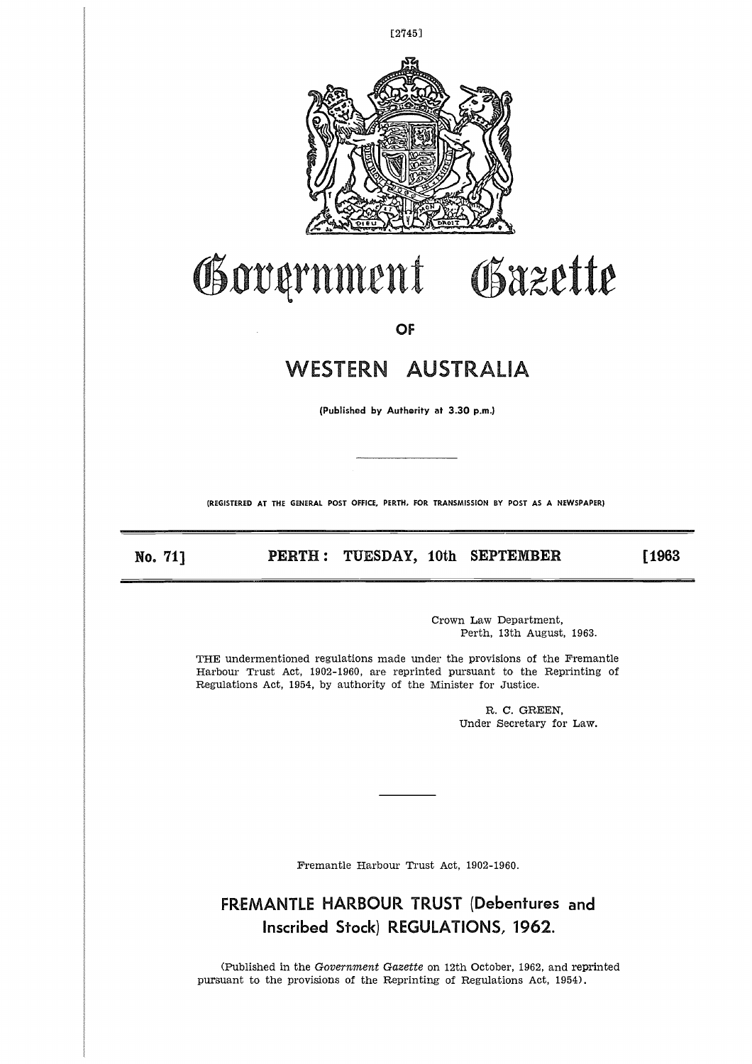

# Gazette Government

OF

# **WESTERN** AUSTRALIA

**(Published by Authority at 3.30 p.m.)**

(REGISTERED AT **THE GENERAL POST OFFICE, PERTH, FOR TRANSMISSION BY POST** AS A **NEWSPAPER)**

**No. 71]**  WESTERN AUSTRALIA<br>
(Published by Authority at 3.30 p.m.)<br>
THE GENERAL POST OFFICE, PERTH, FOR TRANSMISSION BY POST AS A NEWSPAPER)<br>
PERTH : TUESDAY, 10th SEPTEMBER [1963<br>
Crown Law Department,

Crown Law Department, Perth, 13th August, 1963.

THE undermentioned regulations made under the provisions of the Fremantle Harbour Trust Act, 1902-1960, are reprinted pursuant to the Reprinting of Regulations Act, 1954, by authority of the Minister for Justice.

> R. C. GREEN, Under Secretary for Law.

Fremantle Harbour Trust Act, 1902-1960.

# **FREMANTLE HARBOUR TRUST (Debentures and Inscribed Stock) REGULATIONS, 1962.**

(Published in the *Government Gazette* on 12th October, 1962, and reprinted pursuant to the provisions of the Reprinting of Regulations Act, 1954).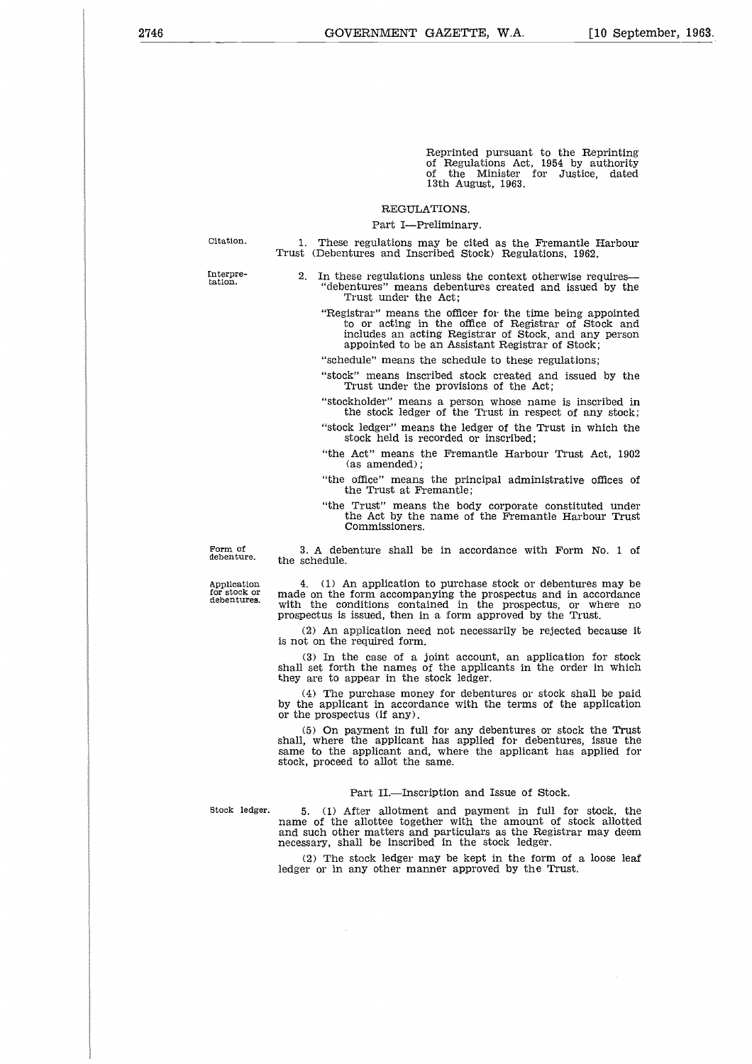Reprinted pursuant to the Reprinting of Regulations Act, 1954 by authority of the Minister for Justice, dated 13th August, 1963.

#### REGULATIONS.

## Part I—Preliminary.

Citation.

1. These regulations may be cited as the Fremantle Harbour Trust (Debentures and Inscribed Stock) Regulations, 1962.

Interpretation.

2. In these regulations unless the context otherwise requires-"debentures" means debentures created and issued by the Trust under the Act;

"Registrar" means the officer for the time being appointed to or acting in the office of Registrar of Stock and includes an acting Registrar of Stock, and any person appointed to be an Assistant Registrar of Stock;

"schedule" means the schedule to these regulations;

"stock" means inscribed stock created and issued by the Trust under the provisions of the Act;

"stockholder" means a person whose name is inscribed in the stock ledger of the Trust in respect of any stock;

"stock ledger" means the ledger of the Trust in which the stock held is recorded or inscribed;

"the Act" means the Fremantle Harbour Trust Act, 1902 (as amended);

"the office" means the principal administrative offices of the Trust at Fremantle;

"the Trust" means the body corporate constituted under the Act by the name of the Fremantle Harbour Trust Commissioners.

Form of debenture.

the schedule.

Application for stock or debentures.

4. (1) An application to purchase stock or debentures may be made on the form accompanying the prospectus and in accordance with the conditions contained in the prospectus, or where no prospectus is issued, then in a form approved by the Trust.

3. A debenture shall be in accordance with Form No. 1 of

(2) An application need not necessarily be rejected because it is not on the required form.

(3) In the case of a joint account, an application for stock shall set forth the names of the applicants in the order in which they are to appear in the stock ledger.

(4) The purchase money for debentures or stock shall be paid by the applicant in accordance with the terms of the application or the prospectus (if any).

(5) On payment in full for any debentures or stock the Trust shall, where the applicant has applied for debentures, issue the same to the applicant and, where the applicant has applied for stock, proceed to allot the same.

## Part IL—Inscription and Issue of Stock.

Stock ledger. 5. (1) After allotment and payment in full for stock, the name of the allottee together with the amount of stock allotted and such other matters and particulars as the Registrar may deem necessary, shall be inscribed in the stock ledger.

> (2) The stock ledger may be kept in the form of a loose leaf ledger or in any other manner approved by the Trust.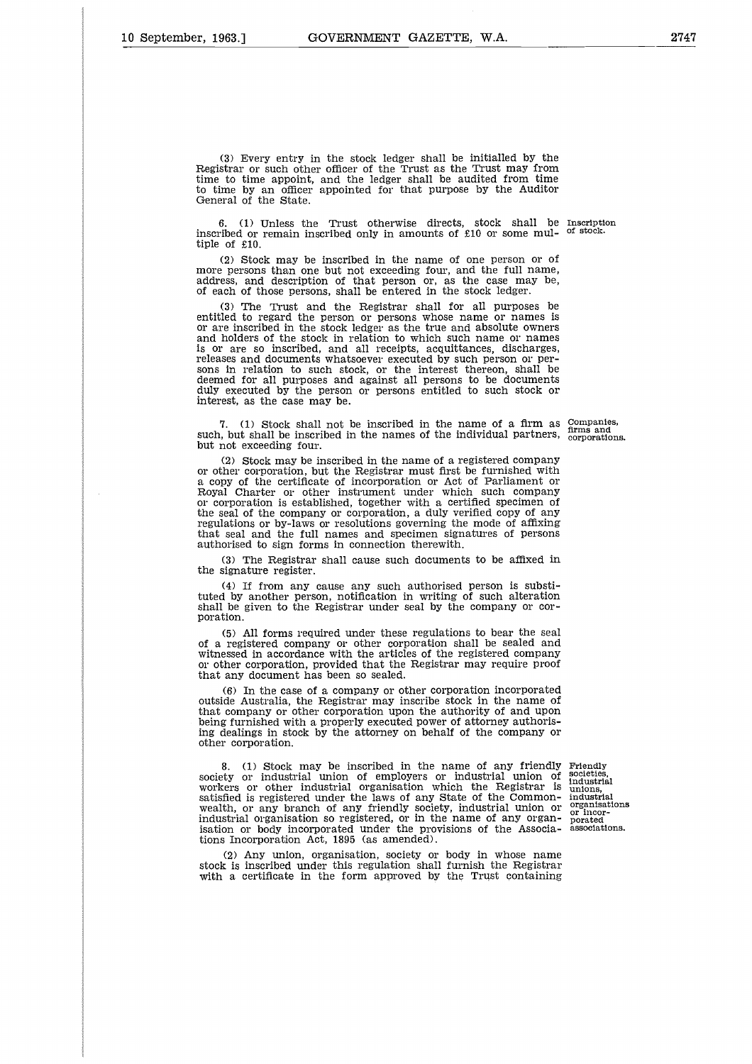(3) Every entry in the stock ledger shall be initialled by the Registrar or such other officer of the Trust as the Trust may from time to time appoint, and the ledger shall be audited from time to time by an officer appointed for that purpose by the Auditor General of the State.

6. (1) Unless the Trust otherwise directs, stock shall be Inscription inscribed or remain inscribed only in amounts of £10 or some mul- of stock. tiple of £10.

(2) Stock may be inscribed in the name of one person or of more persons than one but not exceeding four, and the full name, address, and description of that person or, as the case may be, of each of those persons, shall be entered in the stock ledger.

(3) The Trust and the Registrar shall for all purposes be entitled to regard the person or persons whose name or names is or are inscribed in the stock ledger as the true and absolute owners and holders of the stock in relation to which such name or names is or are so inscribed, and all receipts, acquittances, discharges, releases and documents whatsoever executed by such person or persons in relation to such stock, or the interest thereon, shall be deemed for all purposes and against all persons to be documents duly executed by the person or persons entitled to such stock or interest, as the case may be.

7. (1) Stock shall not be inscribed in the name of a firm as such, but shall be inscribed in the names of the individual partners, but not exceeding four.

(2) Stock may be inscribed in the name of a registered company or other corporation, but the Registrar must first be furnished with a copy of the certificate of incorporation or Act of Parliament or Royal Charter or other instrument under which such company or corporation is established, together with a certified specimen of the seal of the company or corporation, a duly verified copy of any regulations or by-laws or resolutions governing the mode of affixing that seal and the full names and specimen signatures of persons authorised to sign forms in connection therewith.

(3) The Registrar shall cause such documents to be affixed in the signature register.

(4) If from any cause any such authorised person is substituted by another person, notification in writing of such alteration shall be given to the Registrar under seal by the company or corporation.

(5) All forms required under these regulations to bear the seal of a registered company or other corporation shall be sealed and witnessed in accordance with the articles of the registered company or other corporation, provided that the Registrar may require proof that any document has been so sealed.

(6) In the case of a company or other corporation incorporated outside Australia, the Registrar may inscribe stock in the name of that company or other corporation upon the authority of and upon being furnished with a properly executed power of attorney authoris-ing dealings in stock by the attorney on behalf of the company or other corporation.

8. (1) Stock may be inscribed in the name of any friendly society or industrial union of employers or industrial union of workers or other industrial organisation which the Registrar is satisfied is registered under the laws of any State of the Common-wealth, or any branch of any friendly society, industrial union or industrial organisation so registered, or in the name of any organisation or body incorporated under the provisions of the Associations Incorporation Act, 1895 (as amended).

Friendly societies, industrial unions, industrial organisations or incor-porated associations.

(2) Any union, organisation, society or body in whose name stock is inscribed under this regulation shall furnish the Registrar with a certificate in the form approved by the Trust containing

Companies, firms and corporations.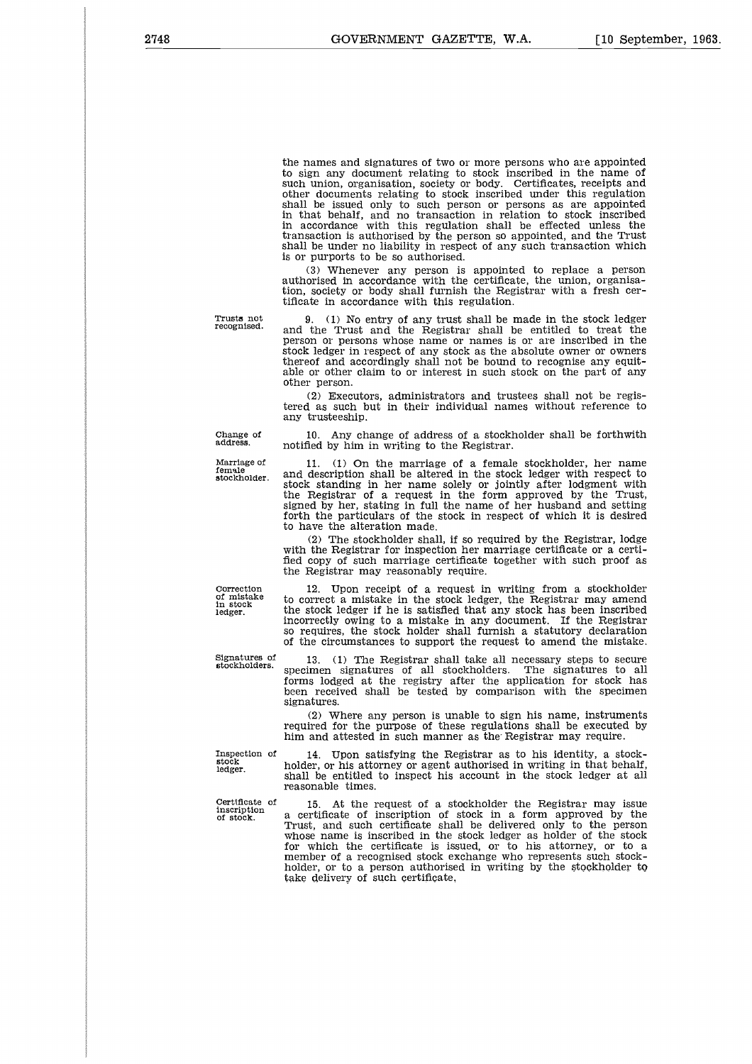the names and signatures of two or more persons who are appointed to sign any document relating to stock inscribed in the name of such union, organisation, society or body. Certificates, receipts and other documents relating to stock inscribed under this regulation shall be issued only to such person or persons as are appointed in that behalf, and no transaction in relation to stock inscribed in accordance with this regulation shall be effected unless the transaction is authorised by the person so appointed, and the Trust shall be under no liability in respect of any such transaction which is or purports to be so authorised.

(3) Whenever any person is appointed to replace a person authorised in accordance with the certificate, the union, organisa-tion, society or body shall furnish the Registrar with a fresh certificate in accordance with this regulation.

Trusts not recognised.

9. (1) No entry of any trust shall be made in the stock ledger and the Trust and the Registrar shall be entitled to treat the person or persons whose name or names is or are inscribed in the stock ledger in respect of any stock as the absolute owner or owners thereof and accordingly shall not be bound to recognise any equitable or other claim to or interest in such stock on the part of any other person.

(2) Executors, administrators and trustees shall not be registered as such but in their individual names without reference to any trusteeship.

10. Any change of address of a stockholder shall be forthwith notified by him in writing to the Registrar.

Marriage of female stockholder.

Correction of mistake in stock ledger.

Signatures of stockholders.

Change of address.

11. (1) On the marriage of a female stockholder, her name and description shall be altered in the stock ledger with respect to stock standing in her name solely or jointly after lodgment with the Registrar of a request in the form approved by the Trust, signed by her, stating in full the name of her husband and setting forth the particulars of the stock in respect of which it is desired to have the alteration made.

(2) The stockholder shall, if so required by the Registrar, lodge with the Registrar for inspection her marriage certificate or a certified copy of such marriage certificate together with such proof as the Registrar may reasonably require.

Upon receipt of a request in writing from a stockholder to correct a mistake in the stock ledger, the Registrar may amend the stock ledger if he is satisfied that any stock has been inscribed incorrectly owing to a mistake in any document. If the Registrar so requires, the stock holder shall furnish a statutory declaration of the circumstances to support the request to amend the mistake.

13. (1) The Registrar shall take all necessary steps to secure specimen signatures of all stockholders. The signatures to all forms lodged at the registry after the application for stock has been received shall be tested by comparison with the specimen signatures.

(2) Where any person is unable to sign his name, instruments required for the purpose of these regulations shall be executed by him and attested in such manner as the Registrar may require.

Inspection of stock ledger.

Certificate of inscription of stock.

14. Upon satisfying the Registrar as to his identity, a stockholder, or his attorney or agent authorised in writing in that behalf, shall be entitled to inspect his account in the stock ledger at all reasonable times.

15. At the request of a stockholder the Registrar may issue a certificate of inscription of stock in a form approved by the Trust, and such certificate shall be delivered only to the person whose name is inscribed in the stock ledger as holder of the stock for which the certificate is issued, or to his attorney, or to a member of a recognised stock exchange who represents such stockholder, or to a person authorised in writing by the stockholder to take delivery of such certificate,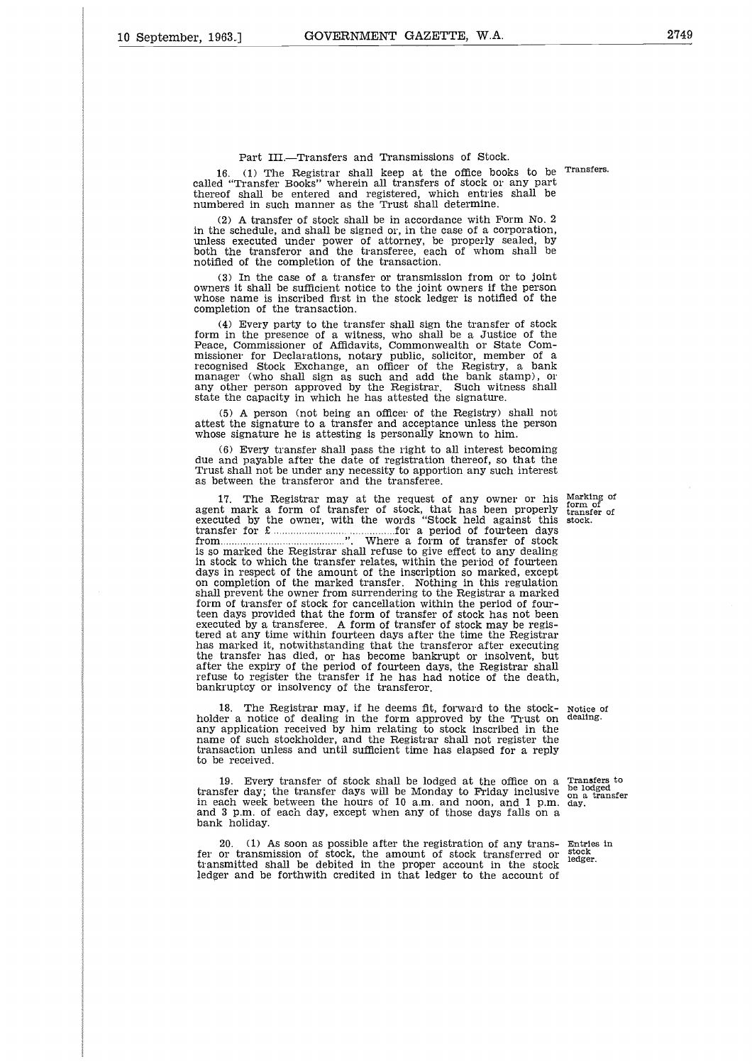#### Part III.—Transfers and Transmissions of Stock.

16. (1) The Registrar shall keep at the office books to be Transfers. called "Transfer Books" wherein all transfers of stock or any part thereof shall be entered and registered, which entries shall be numbered in such manner as the Trust shall determine.

A transfer of stock shall be in accordance with Form No. 2 in the schedule, and shall be signed or, in the case of a corporation, unless executed under power of attorney, be properly sealed, by both the transferor and the transferee, each of whom shall be notified of the completion of the transaction.

(3) In the case of a transfer or transmission from or to joint owners it shall be sufficient notice to the joint owners if the persor whose name is inscribed first in the stock ledger is notified of the completion of the transaction.

(4) Every party to the transfer shall sign the transfer of stock form in the presence of a witness, who shall be a Justice of the Peace, Commissioner of Affidavits, Commonwealth or State Commissioner for Declarations, notary public, solicitor, member of a recognised Stock Exchange, an officer of the Registry, a bank manager (who shall sign as such and add the bank stamp), or any other person approved by the Registrar. Such witness shall state the capacity in which he has attested the signature.

(5) A person (not being an officer of the Registry) shall not attest the signature to a transfer and acceptance unless the person whose signature he is attesting is personally known to him.

(6) Every transfer shall pass the right to all interest becoming due and payable after the date of registration thereof, so that the Trust shall not be under any necessity to apportion any such interest as between the transferor and the transferee.

agent mark a form of transfer of stock, that has been properly 17. The Registrar may at the request of any owner or his  $\frac{\text{Marking of}}{\text{form of the}}$ executed by the owner, with the words "Stock held against this stock. manager (who shall sign as such and add the bank stamp), or<br>any other person approved by the Registrar. Such witness shall<br>state the capacity in which he has attested the signature.<br>
(5) A person (not being an officer of any other person approved by the Registrar. Such witness shall<br>state the capacity in which he has attested the signature.<br>(5) A person (not being an officer of the Registry) shall not<br>attest the signature to a transfer an is so marked the Registrar shall refuse to give effect to any dealing in stock to which the transfer relates, within the period of fourteen days in respect of the amount of the inscription so marked, except on completion of the marked transfer. Nothing in this regulation shall prevent the owner from surrendering to the Registrar a marked form of transfer of stock for cancellation within the period of fourteen days provided that the form of transfer of stock has not been executed by a transferee. A form of transfer of stock may be regis-tered at any time within fourteen days after the time the Registrar has marked it, notwithstanding that the transferor after executing the transfer has died, or has become bankrupt or insolvent, but after the expiry of the period of fourteen days, the Registrar shall refuse to register the transfer if he has had notice of the death, bankruptcy or insolvency of the transferor.

18. The Registrar may, if he deems fit, forward to the stock- Notice of the stock-<br>er a notice of dealing in the form annuaved by the Trust on dealing. holder a notice of dealing in the form approved by the Trust on dealing. any application received by him relating to stock inscribed in the name of such stockholder, and the Registrar shall not register the transaction unless and until sufficient time has elapsed for a reply to be received.

transfer day; the transfer days will be Monday to Friday inclusive in each week between the hours of 10 a.m. and noon, and 1 p.m. 19. Every transfer of stock shall be lodged at the office on a Transfers to in each week between the hours of 10 a.m. and noon, and 1 p.m. day.<br>and 3 p.m. of each day, except when any of those days falls on a bank holiday.

transmitted shall be debited in the proper account in the stock fer or transmission of stock, the amount of stock transferred or 20. (1) As soon as possible after the registration of any trans- Entries in ledger and be forthwith credited in that ledger to the account of

form of transfer of

on a transfer be lodged

ledger. stock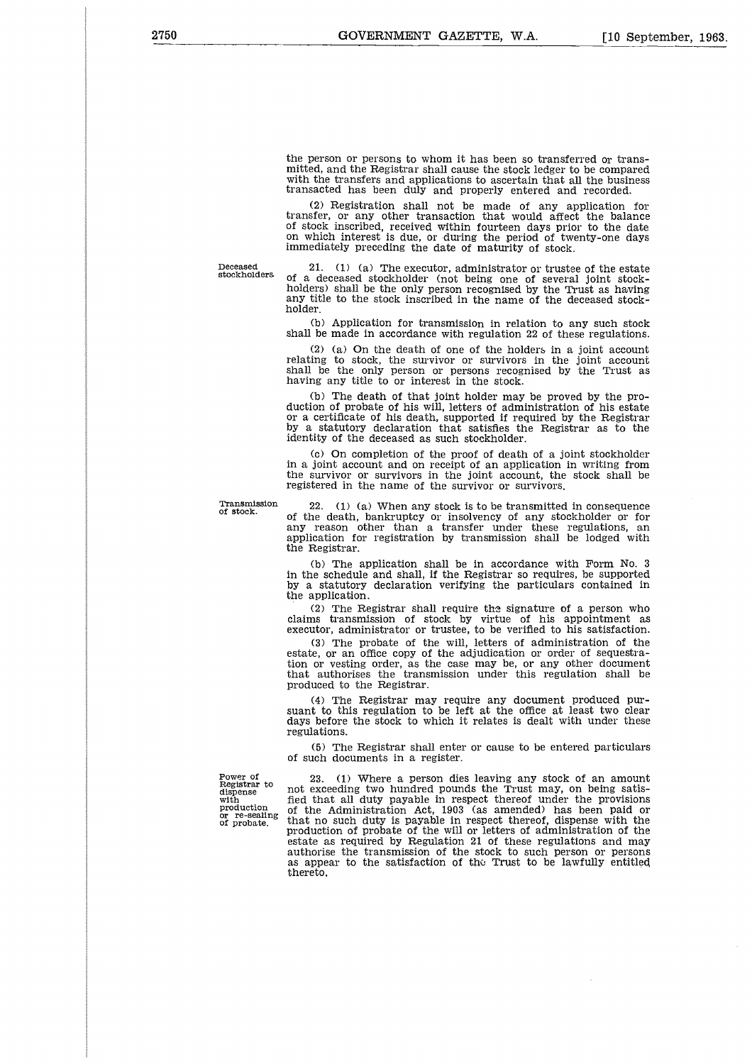the person or persons to whom it has been so transferred or transmitted, and the Registrar shall cause the stock ledger to be compared with the transfers and applications to ascertain that all the business transacted has been duly and properly entered and recorded.

(2) Registration shall not be made of any application for transfer, or any other transaction that would affect the balance of stock inscribed, received within fourteen days prior to the date on which interest is due, or during the period of twenty-one days immediately preceding the date of maturity of stock.

Deceased stockholders

21. (1) (a) The executor, administrator or trustee of the estate of a deceased stockholder (not being one of several joint stockholders) shall be the only person recognised by the Trust as having any title to the stock inscribed in the name of the deceased stockholder.

(b) Application for transmission in relation to any such stock shall be made in accordance with regulation 22 of these regulations.

(2) (a) On the death of one of the holders in a joint account relating to stock, the survivor or survivors in the joint account shall be the only person or persons recognised by the Trust as having any title to or interest in the stock.

(b) The death of that joint holder may be proved by the production of probate of his will, letters of administration of his estate or a certificate of his death, supported if required by the Registrar by a statutory declaration that satisfies the Registrar as to the identity of the deceased as such stockholder.

(c) On completion of the proof of death of a joint stockholder in a joint account and on receipt of an application in writing from the survivor or survivors in the joint account, the stock shall be registered in the name of the survivor or survivors.

Transmission of stock.

22. (1) (a) When any stock is to be transmitted in consequence of the death, bankruptcy or insolvency of any stockholder or for any reason other than a transfer under these regulations, an application for registration by transmission shall be lodged with the Registrar.

(b) The application shall be in accordance with Form No. 3 in the schedule and shall, if the Registrar so requires, be supported by a statutory declaration verifying the particulars contained in the application.

(2) The Registrar shall require the signature of a person who claims transmission of stock by virtue of his appointment as executor, administrator or trustee, to be verified to his satisfaction.

(3) The probate of the will, letters of administration of the estate, or an office copy of the adjudication or order of sequestration or vesting order, as the case may be, or any other document that authorises the transmission under this regulation shall be produced to the Registrar.

(4) The Registrar may require any document produced pursuant to this regulation to be left at the office at least two clear days before the stock to which it relates is dealt with under these regulations.

(5) The Registrar shall enter or cause to be entered particulars of such documents in a register.

Power of Registrar to dispense with production Or re-sealing of probate.

23. (1) Where a person dies leaving any stock of an amount not exceeding two hundred pounds the Trust may, on being satisfied that all duty payable in respect thereof under the provisions of the Administration Act, 1903 (as amended) has been paid or that no such duty is payable in respect thereof, dispense with the production of probate of the will or letters of administration of the estate as required by Regulation 21 of these regulations and may authorise the transmission of the stock to such person or persons as appear to the satisfaction of the Trust to be lawfully entitled thereto.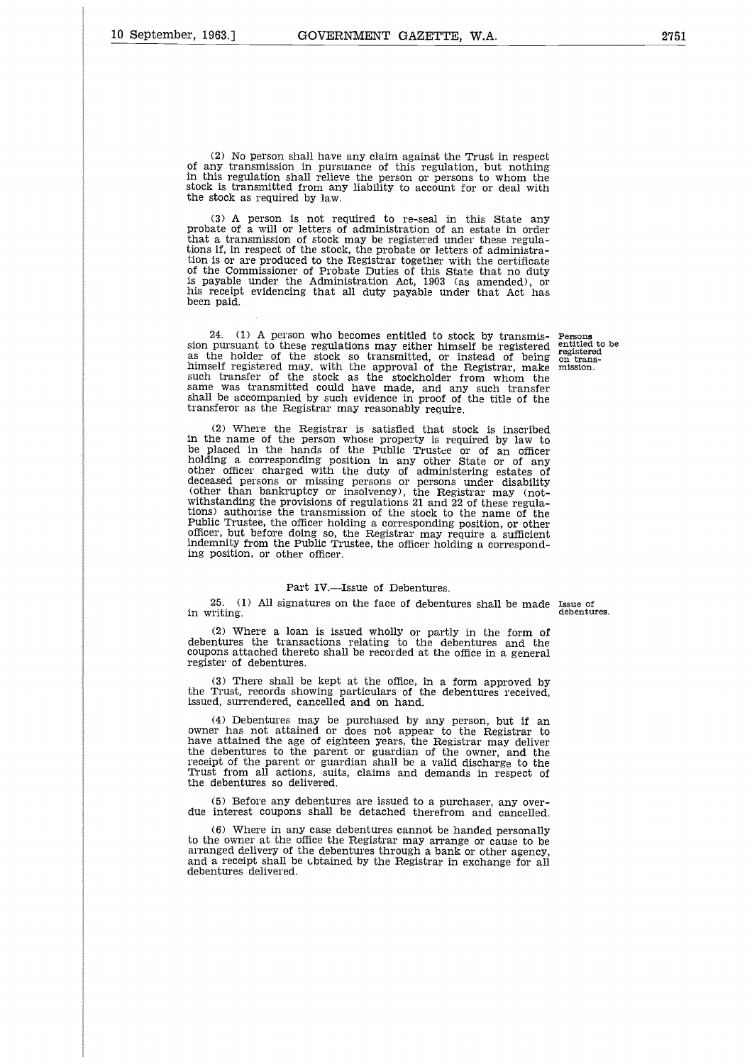(2) No person shall have any claim against the Trust in respect of any transmission in pursuance of this regulation, but nothing in this regulation shall relieve the person or persons to whom the stock is transmitted from any liability to account for or deal with the stock as required by law.

(3) A person is not required to re-seal in this State any probate of a will or letters of administration of an estate in order that a transmission of stock may be registered under these regulations if, in respect of the stock, the probate or letters of administration is or are produced to the Registrar together with the certificate of the Commissioner of Probate Duties of this State that no duty is payable under the Administration Act, 1903 (as amended), or his receipt evidencing that all duty payable under that Act has been paid.

24. (1) A person who becomes entitled to stock by transmission pursuant to these regulations may either himself be registered as the holder of the stock so transmitted, or instead of being himself registered may, with the approval of the Registrar, make such transfer of the stock as the stockholder from whom the same was transmitted could have made, and any such transfer shall be accompanied by such evidence in proof of the title of the transferor as the Registrar may reasonably require.

(2) Where the Registrar is satisfied that stock is inscribed in the name of the person whose property is required by law to be placed in the hands of the Public Trustee or of an officer holding a corresponding position in any other State or of any other officer charged with the duty of administering estates of deceased persons or missing persons or persons under disability (other than bankruptcy or insolvency), the Registrar may (notwithstanding the provisions of regulations 21 and 22 of these regula-tions) authorise the transmission of the stock to the name of the Public Trustee, the officer holding a corresponding position, or other officer, but before doing so, the Registrar may require a sufficient indemnity from the Public Trustee, the officer holding a corresponding position, or other officer. holding a<br>
other office<br>
deceased po<br>
deceased po<br>
(other than<br>
withstandin<br>
withstandin<br>
withstandin<br>
Fublic Trus<br>
officer, but<br>
ing position<br>
25. (1<br>
25. (1<br>
in writing.<br>
(2) Wh<br>
debentures<br>
coupons att

#### Part IV.—Issue of Debentures.

25. (1) All signatures on the face of debentures shall be made Issue of debentures.

(2) Where a loan is issued wholly or partly in the form of debentures the transactions relating to the debentures and the coupons attached thereto shall be recorded at the office in a general register of debentures.

(3) There shall be kept at the office, in a form approved by the Trust, records showing particulars of the debentures received, issued, surrendered, cancelled and on hand.

(4) Debentures may be purchased by any person, but if an owner has not attained or does not appear to the Registrar to have attained the age of eighteen years, the Registrar may deliver the debentures to the parent or guardian of the owner, and the receipt of the parent or guardian shall be a valid discharge to the Trust from all actions, suits, claims and demands in respect of the debentures so delivered.

(5) Before any debentures are issued to a purchaser, any overdue interest coupons shall be detached therefrom and cancelled.

(6) Where in any case debentures cannot be handed personally to the owner at the office the Registrar may arrange or cause to be arranged delivery of the debentures through a bank or other agency, and a receipt shall be obtained by the Registrar in exchange for all debentures delivered.

Persons entitled to be registered on trans-mission.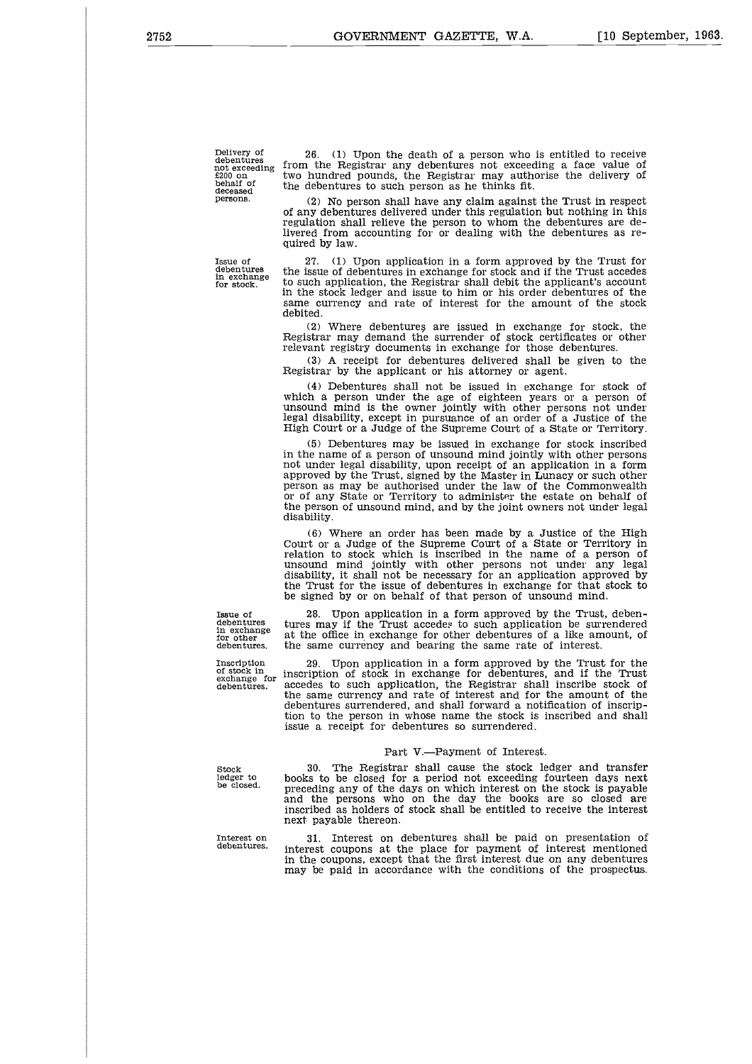the debentures to such person as he thinks fit.

Delivery of debentures not exceeding £200 on behalf of deceased persons.

Issue of debentures in exchange for stock.

quired by law.

27. (1) Upon application in a form approved by the Trust for the issue of debentures in exchange for stock and if the Trust accedes to such application, the Registrar shall debit the applicant's account in the stock ledger and issue to him or his order debentures of the same currency and rate of interest for the amount of the stock debited.

26. (1) Upon the death of a person who is entitled to receive from the Registrar any debentures not exceeding a face value of two hundred pounds, the Registrar may authorise the delivery of

(2) No person shall have any claim against the Trust in respect of any debentures delivered under this regulation but nothing in this regulation shall relieve the person to whom the debentures are delivered from accounting for or dealing with the debentures as re-

(2) Where debentures are issued in exchange for stock, the Registrar may demand the surrender of stock certificates or other relevant registry documents in exchange for those debentures.

(3) A receipt for debentures delivered shall be given to the Registrar by the applicant or his attorney or agent.

(4) Debentures shall not be issued in exchange for stock of which a person under the age of eighteen years or a person of unsound mind is the owner jointly with other persons not under legal disability, except in pursuance of an order of a Justice of the High Court or a Judge of the Supreme Court of a State or Territory.

(5) Debentures may be issued in exchange for stock inscribed in the name of a person of unsound mind jointly with other persons not under legal disability, upon receipt of an application in a form approved by the Trust, signed by the Master in Lunacy or such other person as may be authorised under the law of the Commonwealth or of any State or Territory to administer the estate on behalf of the person of unsound mind, and by the joint owners not under legal disability.

(6) Where an order has been made by a Justice of the High Court or a Judge of the Supreme Court of a State or Territory in relation to stock which is inscribed in the name of a person of unsound mind jointly with other persons not under any legal disability, it shall not be necessary for an application approved by the Trust for the issue of debentures in exchange for that stock to be signed by or on behalf of that person of unsound mind.

Issue of debentures in exchange for other debentures.

Inscription of stock in exchange for debentures.

28. Upon application in a form approved by the Trust, debentures may if the Trust accedes to such application be surrendered at the office in exchange for other debentures of a like amount, of the same currency and bearing the same rate of interest.

29. Upon application in a form approved by the Trust for the inscription of stock in exchange for debentures, and if the Trust accedes to such application, the Registrar shall inscribe stock of the same currency and rate of interest and for the amount of the debentures surrendered, and shall forward a notification of inscription to the person in whose name the stock is inscribed and shall issue a receipt for debentures so surrendered.

# Part V.—Payment of Interest. books to be closed for a period not exceeding fourteen days next

preceding any of the days on which interest on the stock is payable and the persons who on the day the books are so closed are inscribed as holders of stock shall be entitled to receive the interest

30. The Registrar shall cause the stock ledger and transfer

Stock ledger to be closed.

Interest on debentures. next payable thereon. 31. Interest on debentures shall be paid on presentation of interest coupons at the place for payment of interest mentioned in the coupons, except that the first interest due on any debentures may be paid in accordance with the conditions of the prospectus.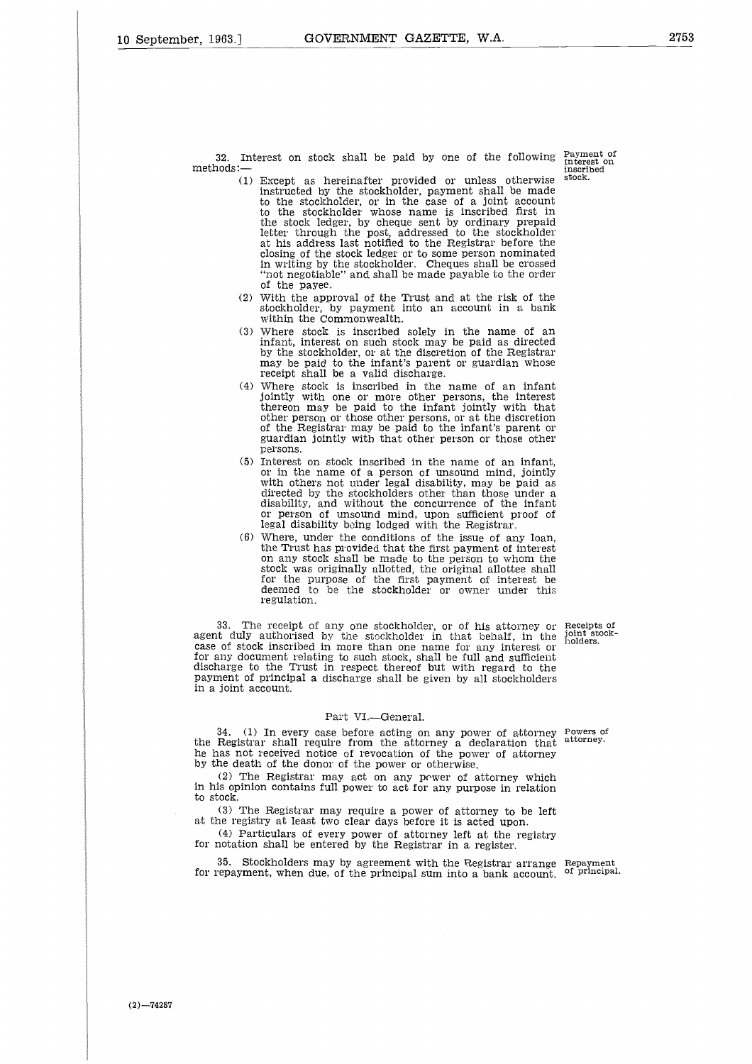32. Interest on stock shall be paid by one of the following methods:—

Payment of interest on inscribed stock.

- (1) Except as hereinafter provided or unless otherwise instructed by the stockholder, payment shall be made to the stockholder, or in the case of a joint account to the stockholder whose name is inscribed first in the stock ledger, by cheque sent by ordinary prepaid letter through the post, addressed to the stockholder at his address last notified to the Registrar before the closing of the stock ledger or to some person nominated in writing by the stockholder. Cheques shall be crossed "not negotiable" and shall be made payable to the order of the payee.
- (2) With the approval of the Trust and at the risk of the stockholder, by payment into an account in a bank within the Commonwealth.
- (3) Where stock is inscribed solely in the name of an infant, interest on such stock may be paid as directed by the stockholder, or at the discretion of the Registral may be paid to the infant's parent or guardian whose receipt shall be a valid discharge.
- (4) Where stock is inscribed in the name of an infant jointly with one or more other persons, the interest thereon may be paid to the infant jointly with that other person or those other persons, or at the discretion of the Registrar may be paid to the infant's parent or guardian jointly with that other person or those other persons.
- (5) Interest on stock inscribed in the name of an infant, or in the name of a person of unsound mind, jointly with others not under legal disability, may be paid as directed by the stockholders other than those under a disability, and without the concurrence of the infant or person of unsound mind, upon sufficient proof of legal disability being lodged with the Registrar.
- (6) Where, under the conditions of the issue of any loan, the Trust has provided that the first payment of interest on any stock shall be made to the person to whom the stock was originally allotted, the original allottee shall for the purpose of the first payment of interest be deemed to he the stockholder or owner under this regulation.

33. The receipt of any one stockholder, or of his attorney or agent duly authorised by the stockholder in that behalf, in the case of stock inscribed in more than one name for any interest or for any document relating to such stock, shall be full and sufficient discharge to the Trust in respect thereof but with regard to the payment of principal a discharge shall be given by all stockholders in a joint account.

### Part VI.—General.

34. (1) In every case before acting on any power of attorney Powers of Registrary shall require from the attorney. the Registrar shall require from the attorney a declaration that he has not received notice of revocation of the power of attorney by the death of the donor of the power or otherwise.

(2) The Registrar may act on any power of attorney which in his opinion contains full power to act for any purpose in relation to stock.

(3) The Registrar may require a power of attorney to be left at the registry at least two clear days before it is acted upon.

(4) Particulars of every power of attorney left at the registry for notation shall be entered by the Registrar in a register.

35. Stockholders may by agreement with the Registrar arrange Repayment for repayment, when due, of the principal sum into a bank account. <sup>of principal</sup>

Receipts of joint stockholders.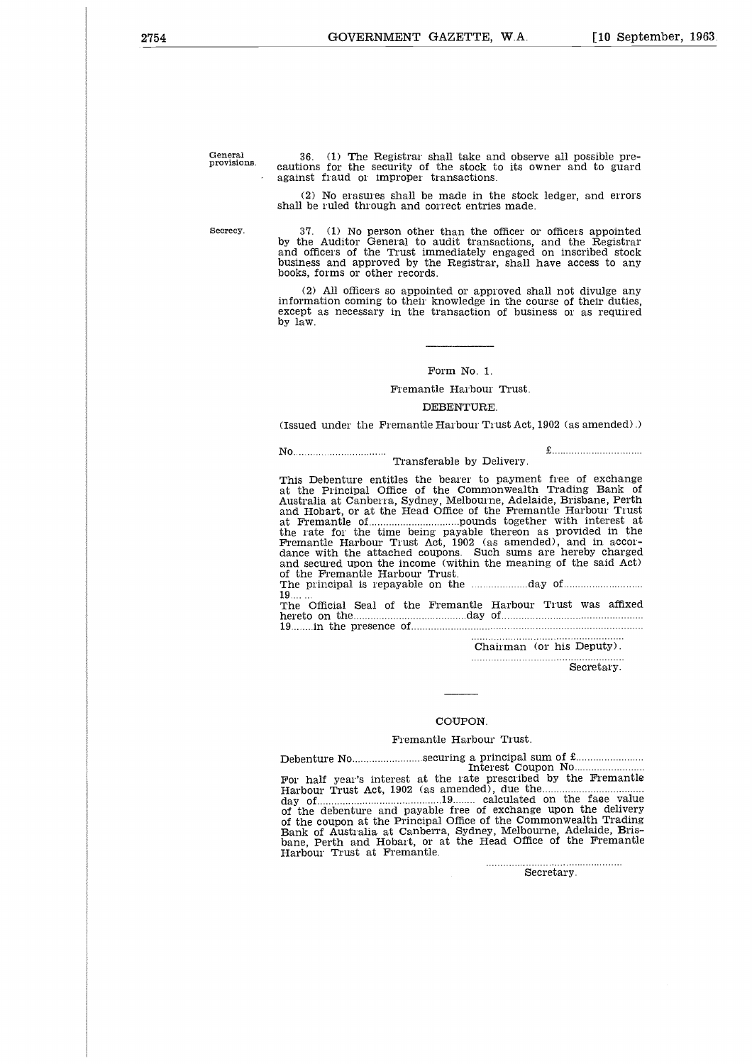General provisions.

36. (1) The Registrar shall take and observe all possible pre-cautions for the security of the stock to its owner and to guard against fraud or improper transactions.

(2) No erasures shall be made in the stock ledger, and errors shall be ruled through and correct entries made.

Secrecy.

37. (1) No person other than the officer or officers appointed by the Auditor General to audit transactions, and the Registrar and officers of the Trust immediately engaged on inscribed stock business and approved by the Registrar, shall have access to any books, forms or other records.

(2) All officers so appointed or approved shall not divulge any information coming to their knowledge in the course of their duties, except as necessary in the transaction of business or as required by law. Notes the bearer of payment of any state of their duties,<br>except as necessary in the transaction of business or as required<br>by law.<br>Form No. 1.<br>Fremantle Harbour Trust.<br>DEBENTURE.<br>(Issued under the Fremantle Harbour Trust unise<br>:se<br>ss<br>£..<br>fr

#### Form No. 1

#### Fremantle Harbour Trust.

#### **DEBENTURE**

(Issued under the Fremantle Harbour Trust Act, 1902 (as amended) .)

Transferable by Delivery.

at the Principal Office of the Commonwealth Trading Bank of Australia at Canberra, Sydney, Melbourne, Adelaide, Brisbane, Perth and Hobart, or at the Head Office of the Fremantle Harbour Trust at Fremantle of pounds together with interest at the rate for the time being payable thereon as provided in the Fremantle Harbour Trust Act, 1902 (as amended), and in accor-dance with the attached coupons. Such sums are hereby charged and secured upon the income (within the meaning of the said Act) of the Fremantle Harbour Trust. government free<br>two payment free<br>the monomonical depth of the Free<br>name, Adelaide, Big<br>dourne, Adelaide, Big<br>starting free the monomonical depth of the meaning of<br>the meaning of<br>the meaning of the meaning of the Harbour Tr Australia at Canberra, S.<br>
Australia at Canberra, S.<br>
at Fremantle of.................<br>
the rate for the time i<br>
Fremantle Harbour Trus<br>
dance with the attached<br>
and secured upon the in<br>
of the Fremantle Harbo<br>
19........<br> repar it report<br>Externe par it seems belive to pay Delive to pay on the set of the set of the set of the set of the set of the set of the set of the set of the set of the set of the set of the set of the set of the set of the set of the set of the set of the

The principal is repayable on the 19.......

The Official Seal of the Fremantle Harbour Trust was affixed hereto on the

Chairman (or his Deputy).

Secretary.

#### COUPON.

## Fremantle Harbour Trust.

Interest Coupon No

The Official Seal of the Fremantle Harbour Trust<br>
thereto on the<br>
in the presence of<br>
in the presence of<br>
interest containman (or his E<br>
coupled a principal sum of £...<br>
The COUPON.<br>
Fremantle Harbour Trust.<br>
Debenture No For half year's interest at the rate prescribed by the Fremantle Harbour Trust Act, 1902 (as amended), due the ...<br>n<br>0.<br>n<br>r day of <sup>19</sup> calculated on the faee value of the debenture and payable free of exchange upon the delivery of the coupon at the Principal Office of the Commonwealth Trading Bank of Australia at Canberra, Sydney, Melbourne, Adelaide, Bris-bane, Perth and Hobart, or at the Head Office of the Fremantle Harbour Trust at Fremantle.

> . . . . . . . . . . . . . . Secretary.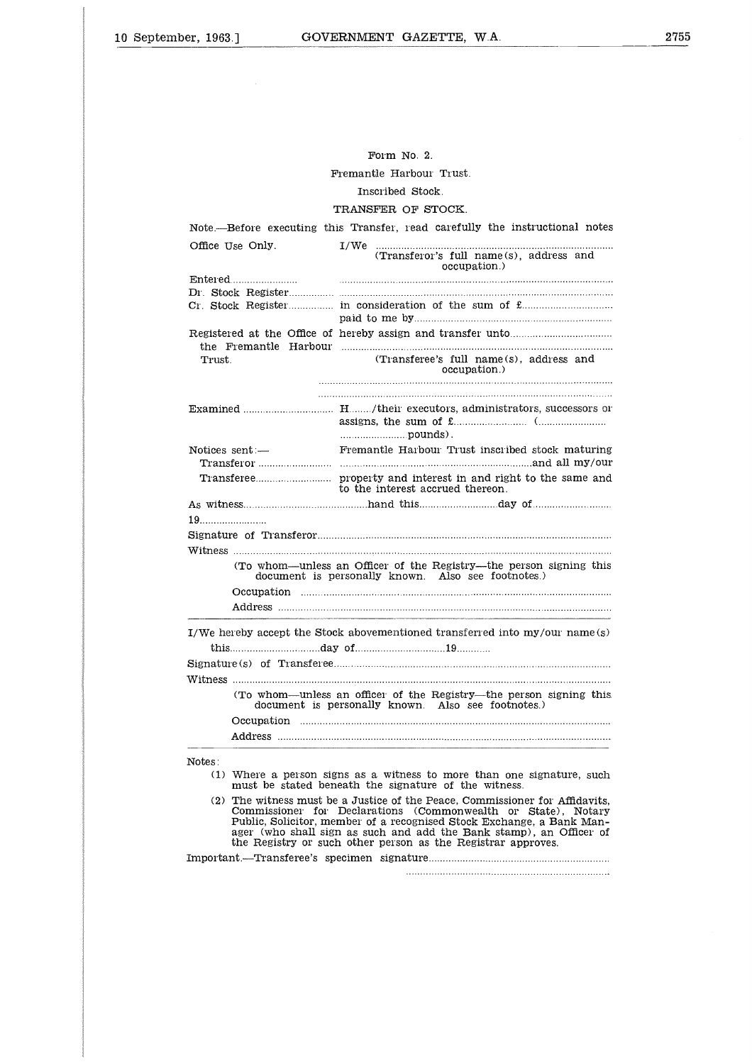# Form No. 2.

# Fremantle Harbour Trust.

## Inscribed Stock.

## TRANSFER OF STOCK.

|         |                                                                                                                                | Form No. 2.                                                                                                                                                                                                                                                                                                                                                   |  |  |  |
|---------|--------------------------------------------------------------------------------------------------------------------------------|---------------------------------------------------------------------------------------------------------------------------------------------------------------------------------------------------------------------------------------------------------------------------------------------------------------------------------------------------------------|--|--|--|
|         |                                                                                                                                | Fremantle Harbour Trust.                                                                                                                                                                                                                                                                                                                                      |  |  |  |
|         |                                                                                                                                | Inscribed Stock.                                                                                                                                                                                                                                                                                                                                              |  |  |  |
|         |                                                                                                                                | TRANSFER OF STOCK.                                                                                                                                                                                                                                                                                                                                            |  |  |  |
|         |                                                                                                                                | Note.—Before executing this Transfer, read carefully the instructional notes                                                                                                                                                                                                                                                                                  |  |  |  |
|         | Office Use Only.                                                                                                               | (Transferor's full name(s), address and<br>occupation.)                                                                                                                                                                                                                                                                                                       |  |  |  |
|         |                                                                                                                                |                                                                                                                                                                                                                                                                                                                                                               |  |  |  |
|         |                                                                                                                                | Cr. Stock Register in consideration of the sum of f                                                                                                                                                                                                                                                                                                           |  |  |  |
|         |                                                                                                                                |                                                                                                                                                                                                                                                                                                                                                               |  |  |  |
|         |                                                                                                                                |                                                                                                                                                                                                                                                                                                                                                               |  |  |  |
| Trust.  |                                                                                                                                | (Transferee's full name(s), address and<br>occupation.)                                                                                                                                                                                                                                                                                                       |  |  |  |
|         |                                                                                                                                |                                                                                                                                                                                                                                                                                                                                                               |  |  |  |
|         |                                                                                                                                |                                                                                                                                                                                                                                                                                                                                                               |  |  |  |
|         |                                                                                                                                |                                                                                                                                                                                                                                                                                                                                                               |  |  |  |
|         | Notices sent:-                                                                                                                 | Fremantle Harbour Trust inscribed stock maturing                                                                                                                                                                                                                                                                                                              |  |  |  |
|         |                                                                                                                                | to the interest accrued thereon.                                                                                                                                                                                                                                                                                                                              |  |  |  |
|         |                                                                                                                                |                                                                                                                                                                                                                                                                                                                                                               |  |  |  |
|         |                                                                                                                                |                                                                                                                                                                                                                                                                                                                                                               |  |  |  |
|         |                                                                                                                                |                                                                                                                                                                                                                                                                                                                                                               |  |  |  |
|         |                                                                                                                                |                                                                                                                                                                                                                                                                                                                                                               |  |  |  |
|         |                                                                                                                                | (To whom—unless an Officer of the Registry—the person signing this<br>document is personally known. Also see footnotes.)                                                                                                                                                                                                                                      |  |  |  |
|         |                                                                                                                                |                                                                                                                                                                                                                                                                                                                                                               |  |  |  |
|         |                                                                                                                                |                                                                                                                                                                                                                                                                                                                                                               |  |  |  |
|         |                                                                                                                                | I/We hereby accept the Stock abovementioned transferred into my/our name(s)                                                                                                                                                                                                                                                                                   |  |  |  |
|         |                                                                                                                                |                                                                                                                                                                                                                                                                                                                                                               |  |  |  |
|         | Witness                                                                                                                        |                                                                                                                                                                                                                                                                                                                                                               |  |  |  |
|         | (To whom—unless an officer of the Registry—the person signing this<br>document is personally known. Also see footnotes.)       |                                                                                                                                                                                                                                                                                                                                                               |  |  |  |
|         |                                                                                                                                |                                                                                                                                                                                                                                                                                                                                                               |  |  |  |
|         |                                                                                                                                | Address …………………………………………………………………………………………                                                                                                                                                                                                                                                                                                                    |  |  |  |
| Notes : |                                                                                                                                |                                                                                                                                                                                                                                                                                                                                                               |  |  |  |
|         | (1) Where a person signs as a witness to more than one signature, such<br>must be stated beneath the signature of the witness. |                                                                                                                                                                                                                                                                                                                                                               |  |  |  |
|         |                                                                                                                                | (2) The witness must be a Justice of the Peace, Commissioner for Affidavits,<br>Commissioner for Declarations (Commonwealth or State), Notary<br>Public, Solicitor, member of a recognised Stock Exchange, a Bank Man-<br>ager (who shall sign as such and add the Bank stamp), an Officer of<br>the Registry or such other person as the Registrar approves. |  |  |  |
|         |                                                                                                                                |                                                                                                                                                                                                                                                                                                                                                               |  |  |  |
|         |                                                                                                                                |                                                                                                                                                                                                                                                                                                                                                               |  |  |  |
|         |                                                                                                                                |                                                                                                                                                                                                                                                                                                                                                               |  |  |  |